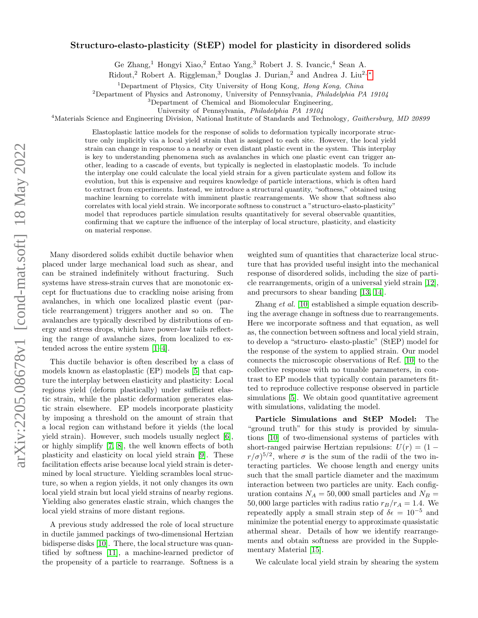## arXiv:2205.08678v1 [cond-mat.soft] 18 May 2022 arXiv:2205.08678v1 [cond-mat.soft] 18 May 2022

## Structuro-elasto-plasticity (StEP) model for plasticity in disordered solids

Ge Zhang,<sup>1</sup> Hongyi Xiao,<sup>2</sup> Entao Yang,<sup>3</sup> Robert J. S. Ivancic,<sup>4</sup> Sean A.

Ridout,<sup>2</sup> Robert A. Riggleman,<sup>3</sup> Douglas J. Durian,<sup>2</sup> and Andrea J. Liu<sup>2,\*</sup>

<sup>1</sup>Department of Physics, City University of Hong Kong, Hong Kong, China

 $2$ Department of Physics and Astronomy, University of Pennsylvania, Philadelphia PA 19104

<sup>3</sup>Department of Chemical and Biomolecular Engineering,

University of Pennsylvania, Philadelphia PA 19104

<sup>4</sup>Materials Science and Engineering Division, National Institute of Standards and Technology, Gaithersburg, MD 20899

Elastoplastic lattice models for the response of solids to deformation typically incorporate structure only implicitly via a local yield strain that is assigned to each site. However, the local yield strain can change in response to a nearby or even distant plastic event in the system. This interplay is key to understanding phenomena such as avalanches in which one plastic event can trigger another, leading to a cascade of events, but typically is neglected in elastoplastic models. To include the interplay one could calculate the local yield strain for a given particulate system and follow its evolution, but this is expensive and requires knowledge of particle interactions, which is often hard to extract from experiments. Instead, we introduce a structural quantity, "softness," obtained using machine learning to correlate with imminent plastic rearrangements. We show that softness also correlates with local yield strain. We incorporate softness to construct a "structuro-elasto-plasticity" model that reproduces particle simulation results quantitatively for several observable quantities, confirming that we capture the influence of the interplay of local structure, plasticity, and elasticity on material response.

Many disordered solids exhibit ductile behavior when placed under large mechanical load such as shear, and can be strained indefinitely without fracturing. Such systems have stress-strain curves that are monotonic except for fluctuations due to crackling noise arising from avalanches, in which one localized plastic event (particle rearrangement) triggers another and so on. The avalanches are typically described by distributions of energy and stress drops, which have power-law tails reflecting the range of avalanche sizes, from localized to extended across the entire system [\[1–](#page-4-1)[4\]](#page-4-2).

This ductile behavior is often described by a class of models known as elastoplastic (EP) models [\[5\]](#page-4-3) that capture the interplay between elasticity and plasticity: Local regions yield (deform plastically) under sufficient elastic strain, while the plastic deformation generates elastic strain elsewhere. EP models incorporate plasticity by imposing a threshold on the amount of strain that a local region can withstand before it yields (the local yield strain). However, such models usually neglect [\[6\]](#page-4-4), or highly simplify [\[7,](#page-4-5) [8\]](#page-4-6), the well known effects of both plasticity and elasticity on local yield strain [\[9\]](#page-4-7). These facilitation effects arise because local yield strain is determined by local structure. Yielding scrambles local structure, so when a region yields, it not only changes its own local yield strain but local yield strains of nearby regions. Yielding also generates elastic strain, which changes the local yield strains of more distant regions.

A previous study addressed the role of local structure in ductile jammed packings of two-dimensional Hertzian bidisperse disks [\[10\]](#page-4-8). There, the local structure was quantified by softness [\[11\]](#page-4-9), a machine-learned predictor of the propensity of a particle to rearrange. Softness is a

weighted sum of quantities that characterize local structure that has provided useful insight into the mechanical response of disordered solids, including the size of particle rearrangements, origin of a universal yield strain [\[12\]](#page-4-10), and precursors to shear banding [\[13,](#page-4-11) [14\]](#page-4-12).

Zhang et al. [\[10\]](#page-4-8) established a simple equation describing the average change in softness due to rearrangements. Here we incorporate softness and that equation, as well as, the connection between softness and local yield strain, to develop a "structuro- elasto-plastic" (StEP) model for the response of the system to applied strain. Our model connects the microscopic observations of Ref. [\[10\]](#page-4-8) to the collective response with no tunable parameters, in contrast to EP models that typically contain parameters fitted to reproduce collective response observed in particle simulations [\[5\]](#page-4-3). We obtain good quantitative agreement with simulations, validating the model.

Particle Simulations and StEP Model: The "ground truth" for this study is provided by simulations [\[10\]](#page-4-8) of two-dimensional systems of particles with short-ranged pairwise Hertzian repulsions:  $U(r) = (1$  $r/\sigma$ <sup>5/2</sup>, where  $\sigma$  is the sum of the radii of the two interacting particles. We choose length and energy units such that the small particle diameter and the maximum interaction between two particles are unity. Each configuration contains  $N_A = 50,000$  small particles and  $N_B =$ 50,000 large particles with radius ratio  $r_B/r_A = 1.4$ . We repeatedly apply a small strain step of  $\delta \epsilon = 10^{-5}$  and minimize the potential energy to approximate quasistatic athermal shear. Details of how we identify rearrangements and obtain softness are provided in the Supplementary Material [\[15\]](#page-4-13).

We calculate local yield strain by shearing the system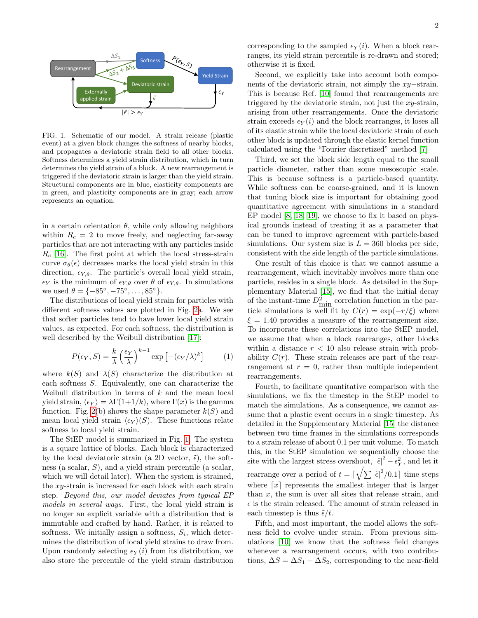

<span id="page-1-0"></span>FIG. 1. Schematic of our model. A strain release (plastic event) at a given block changes the softness of nearby blocks, and propagates a deviatoric strain field to all other blocks. Softness determines a yield strain distribution, which in turn determines the yield strain of a block. A new rearrangement is triggered if the deviatoric strain is larger than the yield strain. Structural components are in blue, elasticity components are in green, and plasticity components are in gray; each arrow represents an equation.

in a certain orientation  $\theta$ , while only allowing neighbors within  $R_c = 2$  to move freely, and neglecting far-away particles that are not interacting with any particles inside  $R_c$  [\[16\]](#page-4-14). The first point at which the local stress-strain curve  $\sigma_{\theta}(\epsilon)$  decreases marks the local yield strain in this direction,  $\epsilon_{Y,\theta}$ . The particle's overall local yield strain,  $\epsilon_Y$  is the minimum of  $\epsilon_{Y,\theta}$  over  $\theta$  of  $\epsilon_{Y,\theta}$ . In simulations we used  $\theta = \{-85^\circ, -75^\circ, \dots, 85^\circ\}.$ 

The distributions of local yield strain for particles with different softness values are plotted in Fig. [2a](#page-2-0). We see that softer particles tend to have lower local yield strain values, as expected. For each softness, the distribution is well described by the Weibull distribution [\[17\]](#page-4-15):

$$
P(\epsilon_Y, S) = \frac{k}{\lambda} \left(\frac{\epsilon_Y}{\lambda}\right)^{k-1} \exp\left[-(\epsilon_Y/\lambda)^k\right] \tag{1}
$$

where  $k(S)$  and  $\lambda(S)$  characterize the distribution at each softness S. Equivalently, one can characterize the Weibull distribution in terms of  $k$  and the mean local yield strain,  $\langle \epsilon_Y \rangle = \lambda \Gamma(1+1/k)$ , where  $\Gamma(x)$  is the gamma function. Fig. [2\(](#page-2-0)b) shows the shape parameter  $k(S)$  and mean local yield strain  $\langle \epsilon_Y \rangle$  (S). These functions relate softness to local yield strain.

The StEP model is summarized in Fig. [1.](#page-1-0) The system is a square lattice of blocks. Each block is characterized by the local deviatoric strain (a 2D vector,  $\tilde{\epsilon}$ ), the softness (a scalar, S), and a yield strain percentile (a scalar, which we will detail later). When the system is strained, the xy-strain is increased for each block with each strain step. Beyond this, our model deviates from typical EP models in several ways. First, the local yield strain is no longer an explicit variable with a distribution that is immutable and crafted by hand. Rather, it is related to softness. We initially assign a softness,  $S_i$ , which determines the distribution of local yield strains to draw from. Upon randomly selecting  $\epsilon_Y(i)$  from its distribution, we also store the percentile of the yield strain distribution

corresponding to the sampled  $\epsilon_Y(i)$ . When a block rearranges, its yield strain percentile is re-drawn and stored; otherwise it is fixed.

Second, we explicitly take into account both components of the deviatoric strain, not simply the xy−strain. This is because Ref. [\[10\]](#page-4-8) found that rearrangements are triggered by the deviatoric strain, not just the xy-strain, arising from other rearrangements. Once the deviatoric strain exceeds  $\epsilon_Y(i)$  and the block rearranges, it loses all of its elastic strain while the local deviatoric strain of each other block is updated through the elastic kernel function calculated using the "Fourier discretized" method [\[7\]](#page-4-5)

Third, we set the block side length equal to the small particle diameter, rather than some mesoscopic scale. This is because softness is a particle-based quantity. While softness can be coarse-grained, and it is known that tuning block size is important for obtaining good quantitative agreement with simulations in a standard EP model [\[8,](#page-4-6) [18,](#page-4-16) [19\]](#page-4-17), we choose to fix it based on physical grounds instead of treating it as a parameter that can be tuned to improve agreement with particle-based simulations. Our system size is  $L = 360$  blocks per side, consistent with the side length of the particle simulations.

One result of this choice is that we cannot assume a rearrangement, which inevitably involves more than one particle, resides in a single block. As detailed in the Supplementary Material [\[15\]](#page-4-13), we find that the initial decay of the instant-time  $D_{\min}^2$  correlation function in the particle simulations is well fit by  $C(r) = \exp(-r/\xi)$  where  $\xi = 1.40$  provides a measure of the rearrangement size. To incorporate these correlations into the StEP model, we assume that when a block rearranges, other blocks within a distance  $r < 10$  also release strain with probability  $C(r)$ . These strain releases are part of the rearrangement at  $r = 0$ , rather than multiple independent rearrangements.

Fourth, to facilitate quantitative comparison with the simulations, we fix the timestep in the StEP model to match the simulations. As a consequence, we cannot assume that a plastic event occurs in a single timestep. As detailed in the Supplementary Material [\[15\]](#page-4-13) the distance between two time frames in the simulations corresponds to a strain release of about 0.1 per unit volume. To match this, in the StEP simulation we sequentially choose the site with the largest stress overshoot,  $|\tilde{\epsilon}|^2 - \epsilon_Y^2$ , and let it rearrange over a period of  $t = \lceil \sqrt{\sum |\tilde{\epsilon}|^2}/0.1 \rceil$  time steps where  $\lceil x \rceil$  represents the smallest integer that is larger than  $x$ , the sum is over all sites that release strain, and  $\epsilon$  is the strain released. The amount of strain released in each timestep is thus  $\tilde{\epsilon}/t$ .

Fifth, and most important, the model allows the softness field to evolve under strain. From previous simulations [\[10\]](#page-4-8) we know that the softness field changes whenever a rearrangement occurs, with two contributions,  $\Delta S = \Delta S_1 + \Delta S_2$ , corresponding to the near-field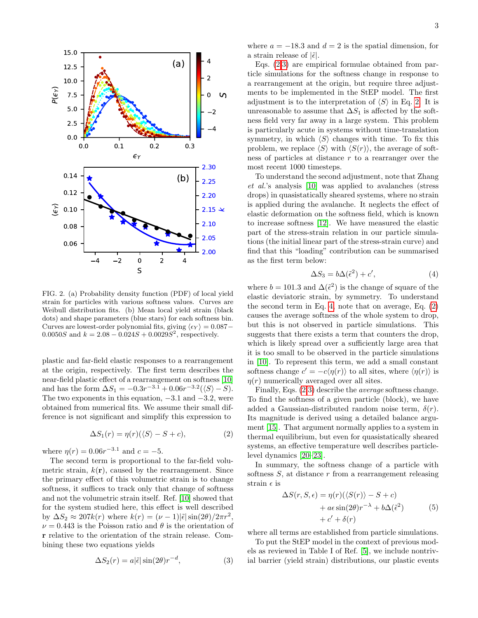

<span id="page-2-0"></span>FIG. 2. (a) Probability density function (PDF) of local yield strain for particles with various softness values. Curves are Weibull distribution fits. (b) Mean local yield strain (black dots) and shape parameters (blue stars) for each softness bin. Curves are lowest-order polynomial fits, giving  $\langle \epsilon_Y \rangle = 0.087$  – 0.0050S and  $k = 2.08 - 0.024S + 0.0029S^2$ , respectively.

plastic and far-field elastic responses to a rearrangement at the origin, respectively. The first term describes the near-field plastic effect of a rearrangement on softness [\[10\]](#page-4-8) and has the form  $\Delta S_1 = -0.3r^{-3.1} + 0.06r^{-3.2}(\langle S \rangle - S)$ . The two exponents in this equation,  $-3.1$  and  $-3.2$ , were obtained from numerical fits. We assume their small difference is not significant and simplify this expression to

<span id="page-2-1"></span>
$$
\Delta S_1(r) = \eta(r)(\langle S \rangle - S + c),\tag{2}
$$

where  $\eta(r) = 0.06r^{-3.1}$  and  $c = -5$ .

The second term is proportional to the far-field volumetric strain,  $k(\mathbf{r})$ , caused by the rearrangement. Since the primary effect of this volumetric strain is to change softness, it suffices to track only that change of softness and not the volumetric strain itself. Ref. [\[10\]](#page-4-8) showed that for the system studied here, this effect is well described by  $\Delta S_2 \approx 207k(r)$  where  $k(r) = (\nu - 1)|\tilde{\epsilon}| \sin(2\theta)/2\pi r^2$ ,  $\nu = 0.443$  is the Poisson ratio and  $\theta$  is the orientation of r relative to the orientation of the strain release. Combining these two equations yields

<span id="page-2-2"></span>
$$
\Delta S_2(r) = a|\tilde{\epsilon}| \sin(2\theta) r^{-d}, \tag{3}
$$

where  $a = -18.3$  and  $d = 2$  is the spatial dimension, for a strain release of  $|\tilde{\epsilon}|$ .

Eqs. [\(2,](#page-2-1)[3\)](#page-2-2) are empirical formulae obtained from particle simulations for the softness change in response to a rearrangement at the origin, but require three adjustments to be implemented in the StEP model. The first adjustment is to the interpretation of  $\langle S \rangle$  in Eq. [2.](#page-2-1) It is unreasonable to assume that  $\Delta S_1$  is affected by the softness field very far away in a large system. This problem is particularly acute in systems without time-translation symmetry, in which  $\langle S \rangle$  changes with time. To fix this problem, we replace  $\langle S \rangle$  with  $\langle S(r) \rangle$ , the average of softness of particles at distance r to a rearranger over the most recent 1000 timesteps.

To understand the second adjustment, note that Zhang et al.'s analysis [\[10\]](#page-4-8) was applied to avalanches (stress drops) in quasistatically sheared systems, where no strain is applied during the avalanche. It neglects the effect of elastic deformation on the softness field, which is known to increase softness [\[12\]](#page-4-10). We have measured the elastic part of the stress-strain relation in our particle simulations (the initial linear part of the stress-strain curve) and find that this "loading" contribution can be summarised as the first term below:

<span id="page-2-3"></span>
$$
\Delta S_3 = b\Delta(\tilde{\epsilon}^2) + c',\tag{4}
$$

where  $b = 101.3$  and  $\Delta(\tilde{\epsilon}^2)$  is the change of square of the elastic deviatoric strain, by symmetry. To understand the second term in Eq. [4,](#page-2-3) note that on average, Eq. [\(2\)](#page-2-1) causes the average softness of the whole system to drop, but this is not observed in particle simulations. This suggests that there exists a term that counters the drop, which is likely spread over a sufficiently large area that it is too small to be observed in the particle simulations in [\[10\]](#page-4-8). To represent this term, we add a small constant softness change  $c' = -c\langle \eta(r) \rangle$  to all sites, where  $\langle \eta(r) \rangle$  is  $\eta(r)$  numerically averaged over all sites.

Finally, Eqs. [\(2,](#page-2-1)[3\)](#page-2-2) describe the average softness change. To find the softness of a given particle (block), we have added a Gaussian-distributed random noise term,  $\delta(r)$ . Its magnitude is derived using a detailed balance argument [\[15\]](#page-4-13). That argument normally applies to a system in thermal equilibrium, but even for quasistatically sheared systems, an effective temperature well describes particlelevel dynamics [\[20](#page-4-18)[–23\]](#page-4-19).

In summary, the softness change of a particle with softness  $S$ , at distance  $r$  from a rearrangement releasing strain  $\epsilon$  is

$$
\Delta S(r, S, \epsilon) = \eta(r)(\langle S(r) \rangle - S + c) + a\epsilon \sin(2\theta)r^{-\lambda} + b\Delta(\tilde{\epsilon}^2) + c' + \delta(r)
$$
 (5)

<span id="page-2-4"></span>where all terms are established from particle simulations.

To put the StEP model in the context of previous models as reviewed in Table I of Ref. [\[5\]](#page-4-3), we include nontrivial barrier (yield strain) distributions, our plastic events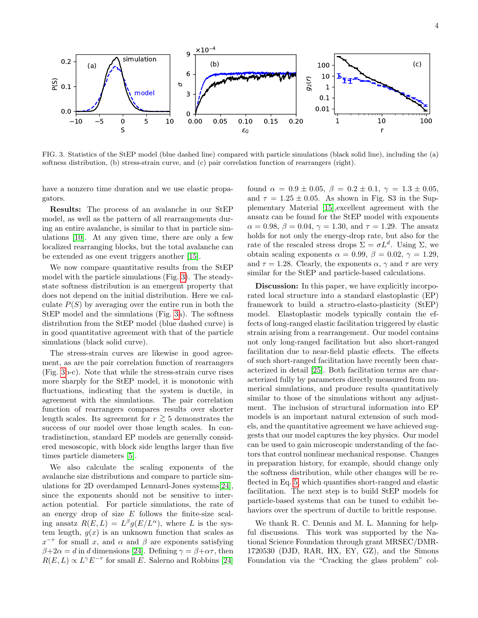

<span id="page-3-0"></span>FIG. 3. Statistics of the StEP model (blue dashed line) compared with particle simulations (black solid line), including the (a) softness distribution, (b) stress-strain curve, and (c) pair correlation function of rearrangers (right).

have a nonzero time duration and we use elastic propagators.

Results: The process of an avalanche in our StEP model, as well as the pattern of all rearrangements during an entire avalanche, is similar to that in particle simulations [\[10\]](#page-4-8). At any given time, there are only a few localized rearranging blocks, but the total avalanche can be extended as one event triggers another [\[15\]](#page-4-13).

We now compare quantitative results from the StEP model with the particle simulations (Fig. [3\)](#page-3-0). The steadystate softness distribution is an emergent property that does not depend on the initial distribution. Here we calculate  $P(S)$  by averaging over the entire run in both the StEP model and the simulations (Fig. [3a](#page-3-0)). The softness distribution from the StEP model (blue dashed curve) is in good quantitative agreement with that of the particle simulations (black solid curve).

The stress-strain curves are likewise in good agreement, as are the pair correlation function of rearrangers (Fig. [3b](#page-3-0)-c). Note that while the stress-strain curve rises more sharply for the StEP model, it is monotonic with fluctuations, indicating that the system is ductile, in agreement with the simulations. The pair correlation function of rearrangers compares results over shorter length scales. Its agreement for  $r \gtrsim 5$  demonstrates the success of our model over those length scales. In contradistinction, standard EP models are generally considered mesoscopic, with block side lengths larger than five times particle diameters [\[5\]](#page-4-3).

We also calculate the scaling exponents of the avalanche size distributions and compare to particle simulations for 2D overdamped Lennard-Jones systems[\[24\]](#page-4-20), since the exponents should not be sensitive to interaction potential. For particle simulations, the rate of an energy drop of size  $E$  follows the finite-size scaling ansatz  $R(E, L) = L^{\beta} g(E/L^{\alpha})$ , where L is the system length,  $g(x)$  is an unknown function that scales as  $x^{-\tau}$  for small x, and  $\alpha$  and  $\beta$  are exponents satisfying  $\beta+2\alpha=d$  in d dimensions [\[24\]](#page-4-20). Defining  $\gamma=\beta+\alpha\tau$ , then  $R(E, L) \propto L^{\gamma} E^{-\tau}$  for small E. Salerno and Robbins [\[24\]](#page-4-20)

found  $\alpha = 0.9 \pm 0.05$ ,  $\beta = 0.2 \pm 0.1$ ,  $\gamma = 1.3 \pm 0.05$ , and  $\tau = 1.25 \pm 0.05$ . As shown in Fig. S3 in the Supplementary Material [\[15\]](#page-4-13),excellent agreement with the ansatz can be found for the StEP model with exponents  $\alpha = 0.98, \beta = 0.04, \gamma = 1.30, \text{ and } \tau = 1.29.$  The ansatz holds for not only the energy-drop rate, but also for the rate of the rescaled stress drops  $\Sigma = \sigma L^d$ . Using  $\Sigma$ , we obtain scaling exponents  $\alpha = 0.99, \beta = 0.02, \gamma = 1.29,$ and  $\tau = 1.28$ . Clearly, the exponents  $\alpha$ ,  $\gamma$  and  $\tau$  are very similar for the StEP and particle-based calculations.

Discussion: In this paper, we have explicitly incorporated local structure into a standard elastoplastic (EP) framework to build a structro-elasto-plasticity (StEP) model. Elastoplastic models typically contain the effects of long-ranged elastic facilitation triggered by elastic strain arising from a rearrangement. Our model contains not only long-ranged facilitation but also short-ranged facilitation due to near-field plastic effects. The effects of such short-ranged facilitation have recently been characterized in detail [\[25\]](#page-4-21). Both facilitation terms are characterized fully by parameters directly measured from numerical simulations, and produce results quantitatively similar to those of the simulations without any adjustment. The inclusion of structural information into EP models is an important natural extension of such models, and the quantitative agreement we have achieved suggests that our model captures the key physics. Our model can be used to gain microscopic understanding of the factors that control nonlinear mechanical response. Changes in preparation history, for example, should change only the softness distribution, while other changes will be reflected in Eq. [5,](#page-2-4) which quantifies short-ranged and elastic facilitation. The next step is to build StEP models for particle-based systems that can be tuned to exhibit behaviors over the spectrum of ductile to brittle response.

We thank R. C. Dennis and M. L. Manning for helpful discussions. This work was supported by the National Science Foundation through grant MRSEC/DMR-1720530 (DJD, RAR, HX, EY, GZ), and the Simons Foundation via the "Cracking the glass problem" col